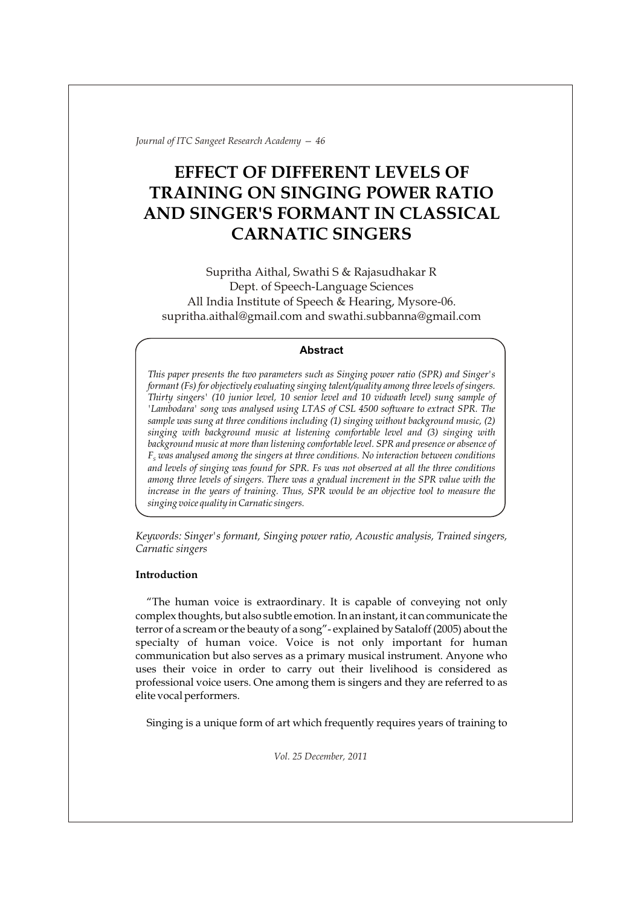# **EFFECT OF DIFFERENT LEVELS OF TRAINING ON SINGING POWER RATIO AND SINGER'S FORMANT IN CLASSICAL CARNATIC SINGERS**

Supritha Aithal, Swathi S & Rajasudhakar R Dept. of Speech-Language Sciences All India Institute of Speech & Hearing, Mysore-06. supritha.aithal@gmail.com and swathi.subbanna@gmail.com

## **Abstract**

*This paper presents the two parameters such as Singing power ratio (SPR) and Singer's formant (Fs) for objectively evaluating singing talent/quality among three levels of singers. Thirty singers' (10 junior level, 10 senior level and 10 vidwath level) sung sample of 'Lambodara' song was analysed using LTAS of CSL 4500 software to extract SPR. The sample was sung at three conditions including (1) singing without background music, (2) singing with background music at listening comfortable level and (3) singing with background music at more than listening comfortable level. SPR and presence or absence of*   $F_s$  was analysed among the singers at three conditions. No interaction between conditions *and levels of singing was found for SPR. Fs was not observed at all the three conditions among three levels of singers. There was a gradual increment in the SPR value with the increase in the years of training. Thus, SPR would be an objective tool to measure the singing voice quality in Carnatic singers.*

*Keywords: Singer's formant, Singing power ratio, Acoustic analysis, Trained singers, Carnatic singers* 

# **Introduction**

"The human voice is extraordinary. It is capable of conveying not only complex thoughts, but also subtle emotion. In an instant, it can communicate the terror of a scream or the beauty of a song"- explained by Sataloff (2005) about the specialty of human voice. Voice is not only important for human communication but also serves as a primary musical instrument. Anyone who uses their voice in order to carry out their livelihood is considered as professional voice users. One among them is singers and they are referred to as elite vocal performers.

Singing is a unique form of art which frequently requires years of training to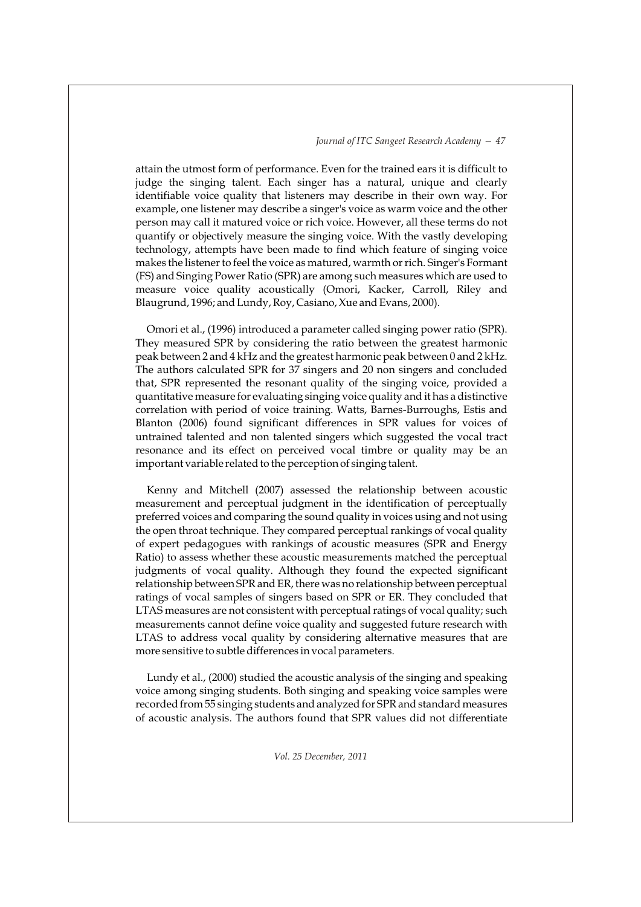attain the utmost form of performance. Even for the trained ears it is difficult to judge the singing talent. Each singer has a natural, unique and clearly identifiable voice quality that listeners may describe in their own way. For example, one listener may describe a singer's voice as warm voice and the other person may call it matured voice or rich voice. However, all these terms do not quantify or objectively measure the singing voice. With the vastly developing technology, attempts have been made to find which feature of singing voice makes the listener to feel the voice as matured, warmth or rich. Singer's Formant (FS) and Singing Power Ratio (SPR) are among such measures which are used to measure voice quality acoustically (Omori, Kacker, Carroll, Riley and Blaugrund, 1996; and Lundy, Roy, Casiano, Xue and Evans, 2000).

Omori et al., (1996) introduced a parameter called singing power ratio (SPR). They measured SPR by considering the ratio between the greatest harmonic peak between 2 and 4 kHz and the greatest harmonic peak between 0 and 2 kHz. The authors calculated SPR for 37 singers and 20 non singers and concluded that, SPR represented the resonant quality of the singing voice, provided a quantitative measure for evaluating singing voice quality and it has a distinctive correlation with period of voice training. Watts, Barnes-Burroughs, Estis and Blanton (2006) found significant differences in SPR values for voices of untrained talented and non talented singers which suggested the vocal tract resonance and its effect on perceived vocal timbre or quality may be an important variable related to the perception of singing talent.

Kenny and Mitchell (2007) assessed the relationship between acoustic measurement and perceptual judgment in the identification of perceptually preferred voices and comparing the sound quality in voices using and not using the open throat technique. They compared perceptual rankings of vocal quality of expert pedagogues with rankings of acoustic measures (SPR and Energy Ratio) to assess whether these acoustic measurements matched the perceptual judgments of vocal quality. Although they found the expected significant relationship between SPR and ER, there was no relationship between perceptual ratings of vocal samples of singers based on SPR or ER. They concluded that LTAS measures are not consistent with perceptual ratings of vocal quality; such measurements cannot define voice quality and suggested future research with LTAS to address vocal quality by considering alternative measures that are more sensitive to subtle differences in vocal parameters.

Lundy et al., (2000) studied the acoustic analysis of the singing and speaking voice among singing students. Both singing and speaking voice samples were recorded from 55 singing students and analyzed for SPR and standard measures of acoustic analysis. The authors found that SPR values did not differentiate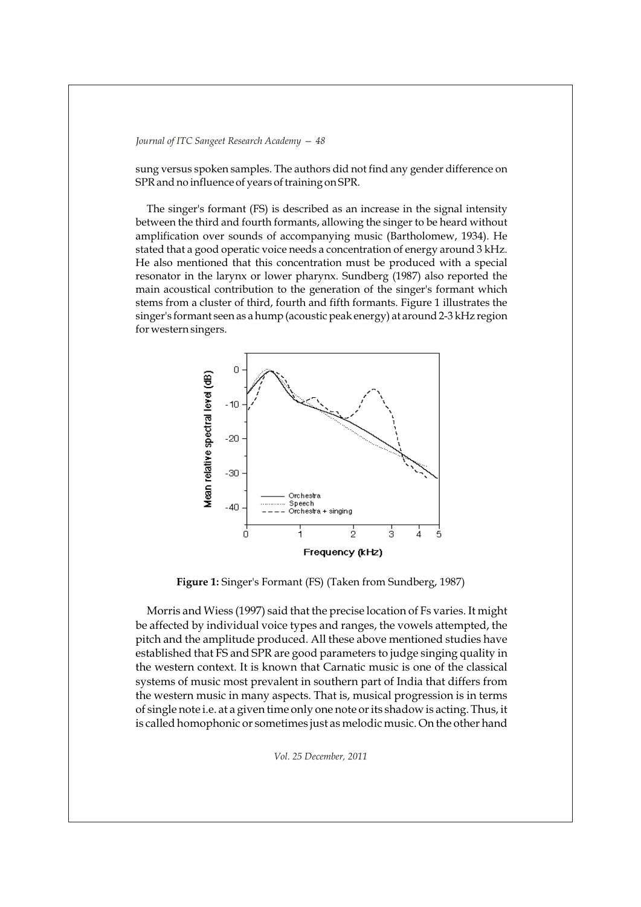sung versus spoken samples. The authors did not find any gender difference on SPR and no influence of years of training on SPR.

The singer's formant (FS) is described as an increase in the signal intensity between the third and fourth formants, allowing the singer to be heard without amplification over sounds of accompanying music (Bartholomew, 1934). He stated that a good operatic voice needs a concentration of energy around 3 kHz. He also mentioned that this concentration must be produced with a special resonator in the larynx or lower pharynx. Sundberg (1987) also reported the main acoustical contribution to the generation of the singer's formant which stems from a cluster of third, fourth and fifth formants. Figure 1 illustrates the singer's formant seen as a hump (acoustic peak energy) at around 2-3 kHz region for western singers.



**Figure 1:** Singer's Formant (FS) (Taken from Sundberg, 1987)

Morris and Wiess (1997) said that the precise location of Fs varies. It might be affected by individual voice types and ranges, the vowels attempted, the pitch and the amplitude produced. All these above mentioned studies have established that FS and SPR are good parameters to judge singing quality in the western context. It is known that Carnatic music is one of the classical systems of music most prevalent in southern part of India that differs from the western music in many aspects. That is, musical progression is in terms of single note i.e. at a given time only one note or its shadow is acting. Thus, it is called homophonic or sometimes just as melodic music. On the other hand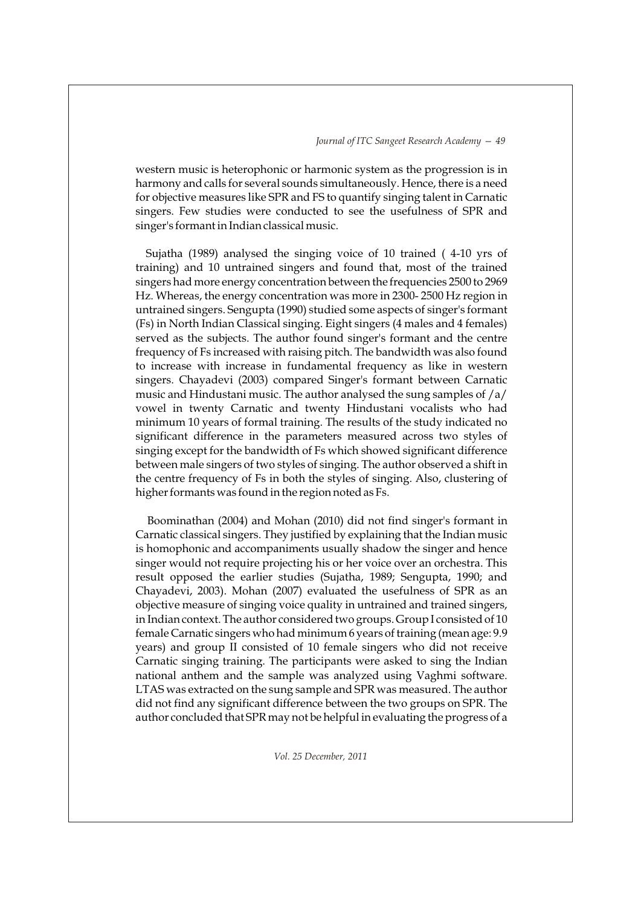western music is heterophonic or harmonic system as the progression is in harmony and calls for several sounds simultaneously. Hence, there is a need for objective measures like SPR and FS to quantify singing talent in Carnatic singers. Few studies were conducted to see the usefulness of SPR and singer's formant in Indian classical music.

Sujatha (1989) analysed the singing voice of 10 trained ( 4-10 yrs of training) and 10 untrained singers and found that, most of the trained singers had more energy concentration between the frequencies 2500 to 2969 Hz. Whereas, the energy concentration was more in 2300- 2500 Hz region in untrained singers. Sengupta (1990) studied some aspects of singer's formant (Fs) in North Indian Classical singing. Eight singers (4 males and 4 females) served as the subjects. The author found singer's formant and the centre frequency of Fs increased with raising pitch. The bandwidth was also found to increase with increase in fundamental frequency as like in western singers. Chayadevi (2003) compared Singer's formant between Carnatic music and Hindustani music. The author analysed the sung samples of /a/ vowel in twenty Carnatic and twenty Hindustani vocalists who had minimum 10 years of formal training. The results of the study indicated no significant difference in the parameters measured across two styles of singing except for the bandwidth of Fs which showed significant difference between male singers of two styles of singing. The author observed a shift in the centre frequency of Fs in both the styles of singing. Also, clustering of higher formants was found in the region noted as Fs.

Boominathan (2004) and Mohan (2010) did not find singer's formant in Carnatic classical singers. They justified by explaining that the Indian music is homophonic and accompaniments usually shadow the singer and hence singer would not require projecting his or her voice over an orchestra. This result opposed the earlier studies (Sujatha, 1989; Sengupta, 1990; and Chayadevi, 2003). Mohan (2007) evaluated the usefulness of SPR as an objective measure of singing voice quality in untrained and trained singers, in Indian context. The author considered two groups. Group I consisted of 10 female Carnatic singers who had minimum 6 years of training (mean age: 9.9 years) and group II consisted of 10 female singers who did not receive Carnatic singing training. The participants were asked to sing the Indian national anthem and the sample was analyzed using Vaghmi software. LTAS was extracted on the sung sample and SPR was measured. The author did not find any significant difference between the two groups on SPR. The author concluded that SPR may not be helpful in evaluating the progress of a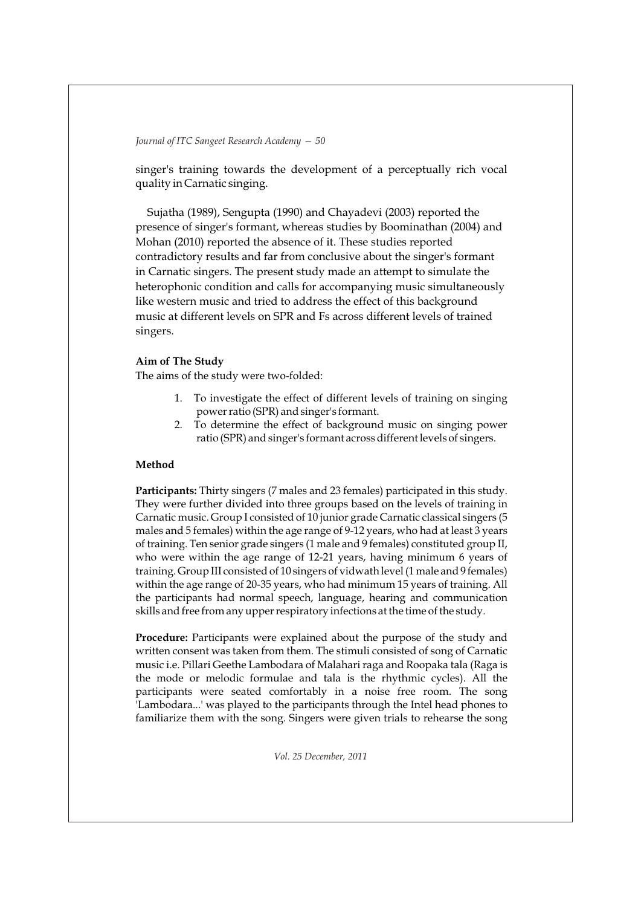singer's training towards the development of a perceptually rich vocal quality in Carnatic singing.

Sujatha (1989), Sengupta (1990) and Chayadevi (2003) reported the presence of singer's formant, whereas studies by Boominathan (2004) and Mohan (2010) reported the absence of it. These studies reported contradictory results and far from conclusive about the singer's formant in Carnatic singers. The present study made an attempt to simulate the heterophonic condition and calls for accompanying music simultaneously like western music and tried to address the effect of this background music at different levels on SPR and Fs across different levels of trained singers.

## **Aim of The Study**

The aims of the study were two-folded:

- 1. To investigate the effect of different levels of training on singing power ratio (SPR) and singer's formant.
- 2. To determine the effect of background music on singing power ratio (SPR) and singer's formant across different levels of singers.

# **Method**

**Participants:** Thirty singers (7 males and 23 females) participated in this study. They were further divided into three groups based on the levels of training in Carnatic music. Group I consisted of 10 junior grade Carnatic classical singers (5 males and 5 females) within the age range of 9-12 years, who had at least 3 years of training. Ten senior grade singers (1 male and 9 females) constituted group II, who were within the age range of 12-21 years, having minimum 6 years of training. Group III consisted of 10 singers of vidwath level (1 male and 9 females) within the age range of 20-35 years, who had minimum 15 years of training. All the participants had normal speech, language, hearing and communication skills and free from any upper respiratory infections at the time of the study.

**Procedure:** Participants were explained about the purpose of the study and written consent was taken from them. The stimuli consisted of song of Carnatic music i.e. Pillari Geethe Lambodara of Malahari raga and Roopaka tala (Raga is the mode or melodic formulae and tala is the rhythmic cycles). All the participants were seated comfortably in a noise free room. The song 'Lambodara...' was played to the participants through the Intel head phones to familiarize them with the song. Singers were given trials to rehearse the song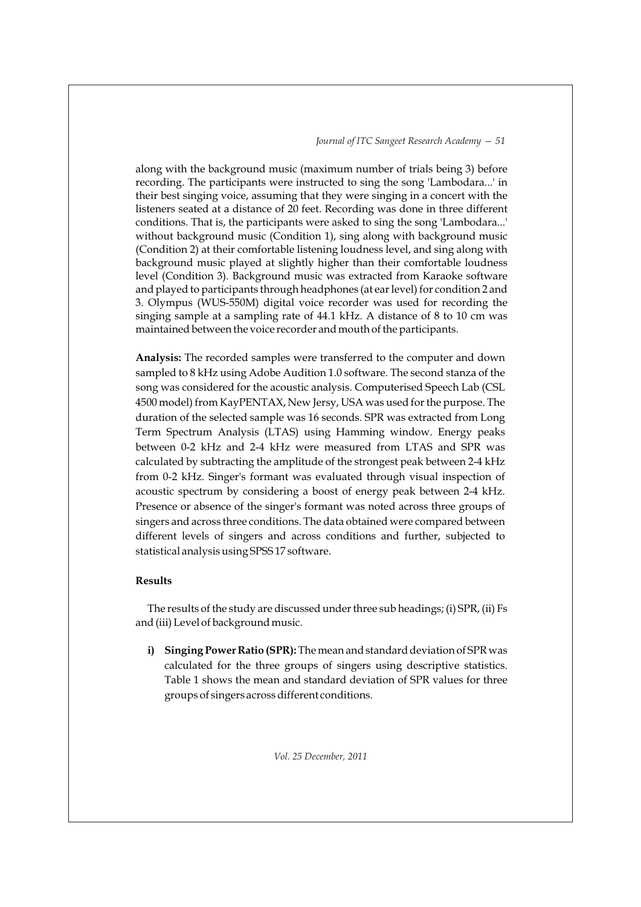along with the background music (maximum number of trials being 3) before recording. The participants were instructed to sing the song 'Lambodara...' in their best singing voice, assuming that they were singing in a concert with the listeners seated at a distance of 20 feet. Recording was done in three different conditions. That is, the participants were asked to sing the song 'Lambodara...' without background music (Condition 1), sing along with background music (Condition 2) at their comfortable listening loudness level, and sing along with background music played at slightly higher than their comfortable loudness level (Condition 3). Background music was extracted from Karaoke software and played to participants through headphones (at ear level) for condition 2 and 3. Olympus (WUS-550M) digital voice recorder was used for recording the singing sample at a sampling rate of 44.1 kHz. A distance of 8 to 10 cm was maintained between the voice recorder and mouth of the participants.

**Analysis:** The recorded samples were transferred to the computer and down sampled to 8 kHz using Adobe Audition 1.0 software. The second stanza of the song was considered for the acoustic analysis. Computerised Speech Lab (CSL 4500 model) from KayPENTAX, New Jersy, USA was used for the purpose. The duration of the selected sample was 16 seconds. SPR was extracted from Long Term Spectrum Analysis (LTAS) using Hamming window. Energy peaks between 0-2 kHz and 2-4 kHz were measured from LTAS and SPR was calculated by subtracting the amplitude of the strongest peak between 2-4 kHz from 0-2 kHz. Singer's formant was evaluated through visual inspection of acoustic spectrum by considering a boost of energy peak between 2-4 kHz. Presence or absence of the singer's formant was noted across three groups of singers and across three conditions. The data obtained were compared between different levels of singers and across conditions and further, subjected to statistical analysis using SPSS 17 software.

#### **Results**

The results of the study are discussed under three sub headings; (i) SPR, (ii) Fs and (iii) Level of background music.

**i) Singing Power Ratio (SPR):** The mean and standard deviation of SPR was calculated for the three groups of singers using descriptive statistics. Table 1 shows the mean and standard deviation of SPR values for three groups of singers across different conditions.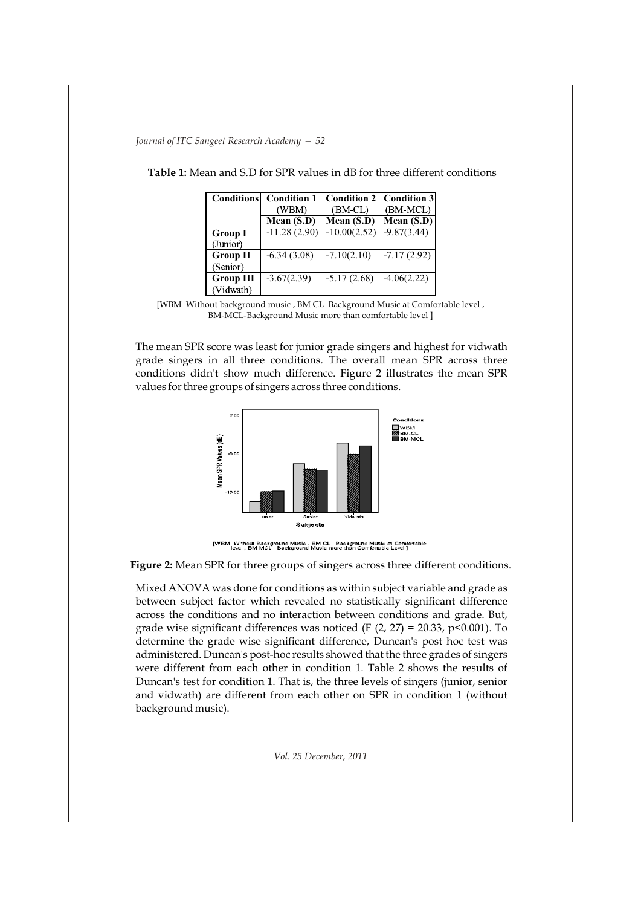| <b>Conditions</b> | <b>Condition 1</b> | <b>Condition 2</b> | <b>Condition 3</b> |
|-------------------|--------------------|--------------------|--------------------|
|                   | (WBM)              | $(BM$ -CL $)$      | (BM-MCL)           |
|                   | Mean $(S.D)$       | Mean (S.D)         | Mean $(S.D)$       |
| <b>Group I</b>    | $-11.28(2.90)$     | $-10.00(2.52)$     | $-9.87(3.44)$      |
| (Junior)          |                    |                    |                    |
| <b>Group II</b>   | $-6.34(3.08)$      | $-7.10(2.10)$      | $-7.17(2.92)$      |
| (Senior)          |                    |                    |                    |
| <b>Group III</b>  | $-3.67(2.39)$      | $-5.17(2.68)$      | $-4.06(2.22)$      |
| (Vidwath)         |                    |                    |                    |

**Table 1:** Mean and S.D for SPR values in dB for three different conditions

[WBM Without background music , BM CL Background Music at Comfortable level , BM-MCL-Background Music more than comfortable level ]

The mean SPR score was least for junior grade singers and highest for vidwath grade singers in all three conditions. The overall mean SPR across three conditions didn't show much difference. Figure 2 illustrates the mean SPR values for three groups of singers across three conditions.



[WBM\_Without Background Music , BM CLI Background Music at Comfortable<br>- Texa , BM MCLI Background Music more than Coll (attacke Level )

**Figure 2:** Mean SPR for three groups of singers across three different conditions.

Mixed ANOVA was done for conditions as within subject variable and grade as between subject factor which revealed no statistically significant difference across the conditions and no interaction between conditions and grade. But, grade wise significant differences was noticed (F  $(2, 27) = 20.33$ , p<0.001). To determine the grade wise significant difference, Duncan's post hoc test was administered. Duncan's post-hoc results showed that the three grades of singers were different from each other in condition 1. Table 2 shows the results of Duncan's test for condition 1. That is, the three levels of singers (junior, senior and vidwath) are different from each other on SPR in condition 1 (without background music).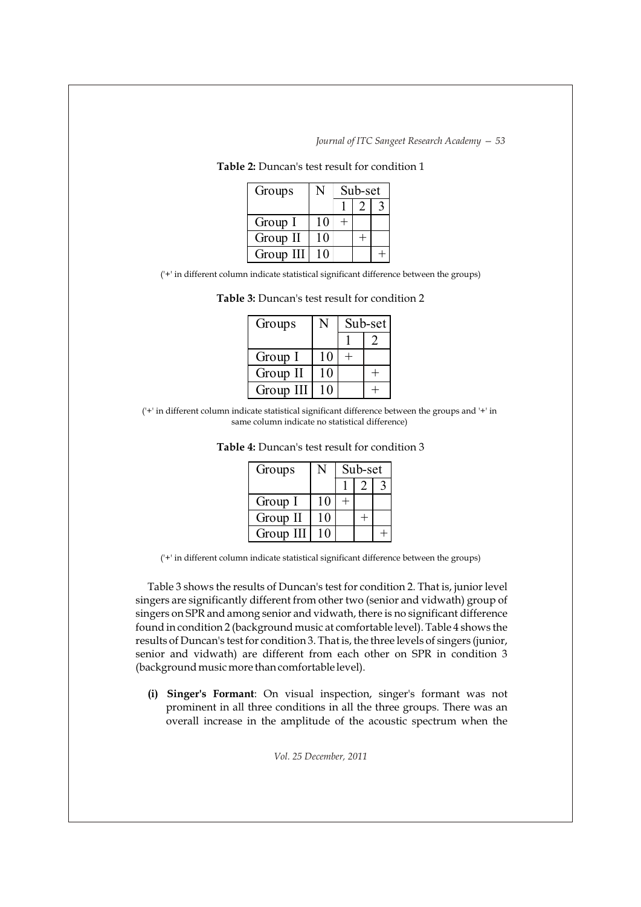| Groups    | Sub-set |  |  |
|-----------|---------|--|--|
|           |         |  |  |
| Group I   |         |  |  |
| Group II  |         |  |  |
| Group III |         |  |  |

**Table 2:** Duncan's test result for condition 1

('+' in different column indicate statistical significant difference between the groups)

| Groups    |    | Sub-set |  |
|-----------|----|---------|--|
|           |    |         |  |
| Group I   | 10 |         |  |
| Group II  | 10 |         |  |
| Group III |    |         |  |

**Table 3:** Duncan's test result for condition 2

<sup>(&#</sup>x27;+' in different column indicate statistical significant difference between the groups and '+' in same column indicate no statistical difference)

| Groups    | Sub-set |  |  |
|-----------|---------|--|--|
|           |         |  |  |
| Group I   |         |  |  |
| Group II  |         |  |  |
| Group III |         |  |  |

**Table 4:** Duncan's test result for condition 3

('+' in different column indicate statistical significant difference between the groups)

Table 3 shows the results of Duncan's test for condition 2. That is, junior level singers are significantly different from other two (senior and vidwath) group of singers on SPR and among senior and vidwath, there is no significant difference found in condition 2 (background music at comfortable level). Table 4 shows the results of Duncan's test for condition 3. That is, the three levels of singers (junior, senior and vidwath) are different from each other on SPR in condition 3 (background music more than comfortable level).

**(i) Singer's Formant**: On visual inspection, singer's formant was not prominent in all three conditions in all the three groups. There was an overall increase in the amplitude of the acoustic spectrum when the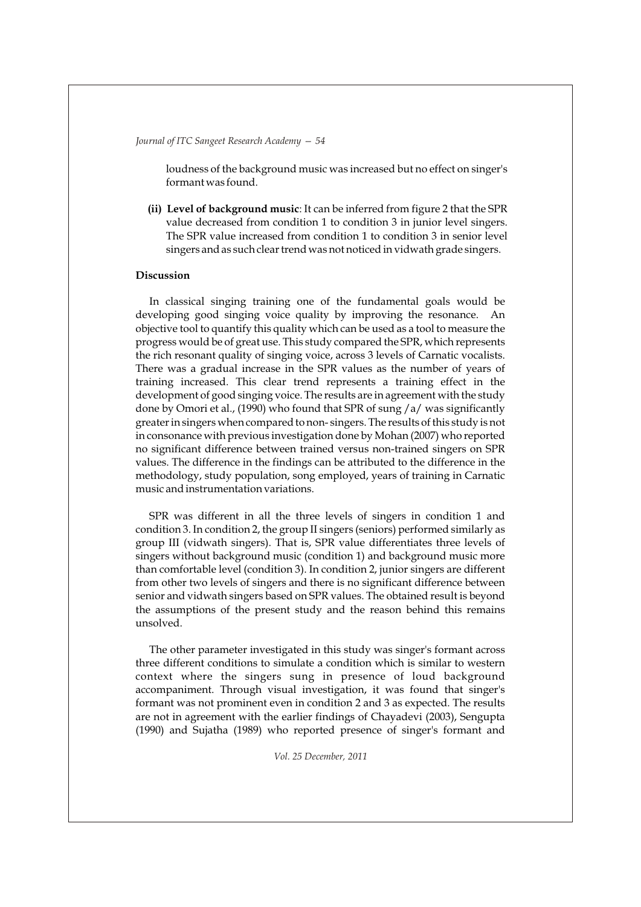loudness of the background music was increased but no effect on singer's formant was found.

**(ii) Level of background music**: It can be inferred from figure 2 that the SPR value decreased from condition 1 to condition 3 in junior level singers. The SPR value increased from condition 1 to condition 3 in senior level singers and as such clear trend was not noticed in vidwath grade singers.

# **Discussion**

In classical singing training one of the fundamental goals would be developing good singing voice quality by improving the resonance. An objective tool to quantify this quality which can be used as a tool to measure the progress would be of great use. This study compared the SPR, which represents the rich resonant quality of singing voice, across 3 levels of Carnatic vocalists. There was a gradual increase in the SPR values as the number of years of training increased. This clear trend represents a training effect in the development of good singing voice. The results are in agreement with the study done by Omori et al., (1990) who found that SPR of sung /a/ was significantly greater in singers when compared to non- singers. The results of this study is not in consonance with previous investigation done by Mohan (2007) who reported no significant difference between trained versus non-trained singers on SPR values. The difference in the findings can be attributed to the difference in the methodology, study population, song employed, years of training in Carnatic music and instrumentation variations.

SPR was different in all the three levels of singers in condition 1 and condition 3. In condition 2, the group II singers (seniors) performed similarly as group III (vidwath singers). That is, SPR value differentiates three levels of singers without background music (condition 1) and background music more than comfortable level (condition 3). In condition 2, junior singers are different from other two levels of singers and there is no significant difference between senior and vidwath singers based on SPR values. The obtained result is beyond the assumptions of the present study and the reason behind this remains unsolved.

The other parameter investigated in this study was singer's formant across three different conditions to simulate a condition which is similar to western context where the singers sung in presence of loud background accompaniment. Through visual investigation, it was found that singer's formant was not prominent even in condition 2 and 3 as expected. The results are not in agreement with the earlier findings of Chayadevi (2003), Sengupta (1990) and Sujatha (1989) who reported presence of singer's formant and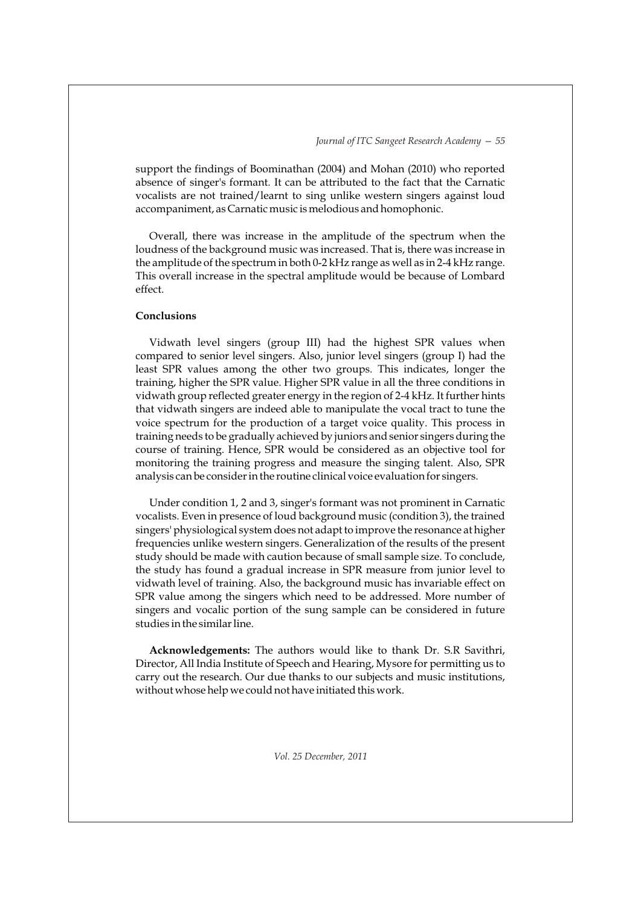support the findings of Boominathan (2004) and Mohan (2010) who reported absence of singer's formant. It can be attributed to the fact that the Carnatic vocalists are not trained/learnt to sing unlike western singers against loud accompaniment, as Carnatic music is melodious and homophonic.

Overall, there was increase in the amplitude of the spectrum when the loudness of the background music was increased. That is, there was increase in the amplitude of the spectrum in both 0-2 kHz range as well as in 2-4 kHz range. This overall increase in the spectral amplitude would be because of Lombard effect.

## **Conclusions**

Vidwath level singers (group III) had the highest SPR values when compared to senior level singers. Also, junior level singers (group I) had the least SPR values among the other two groups. This indicates, longer the training, higher the SPR value. Higher SPR value in all the three conditions in vidwath group reflected greater energy in the region of 2-4 kHz. It further hints that vidwath singers are indeed able to manipulate the vocal tract to tune the voice spectrum for the production of a target voice quality. This process in training needs to be gradually achieved by juniors and senior singers during the course of training. Hence, SPR would be considered as an objective tool for monitoring the training progress and measure the singing talent. Also, SPR analysis can be consider in the routine clinical voice evaluation for singers.

Under condition 1, 2 and 3, singer's formant was not prominent in Carnatic vocalists. Even in presence of loud background music (condition 3), the trained singers' physiological system does not adapt to improve the resonance at higher frequencies unlike western singers. Generalization of the results of the present study should be made with caution because of small sample size. To conclude, the study has found a gradual increase in SPR measure from junior level to vidwath level of training. Also, the background music has invariable effect on SPR value among the singers which need to be addressed. More number of singers and vocalic portion of the sung sample can be considered in future studies in the similar line.

**Acknowledgements:** The authors would like to thank Dr. S.R Savithri, Director, All India Institute of Speech and Hearing, Mysore for permitting us to carry out the research. Our due thanks to our subjects and music institutions, without whose help we could not have initiated this work.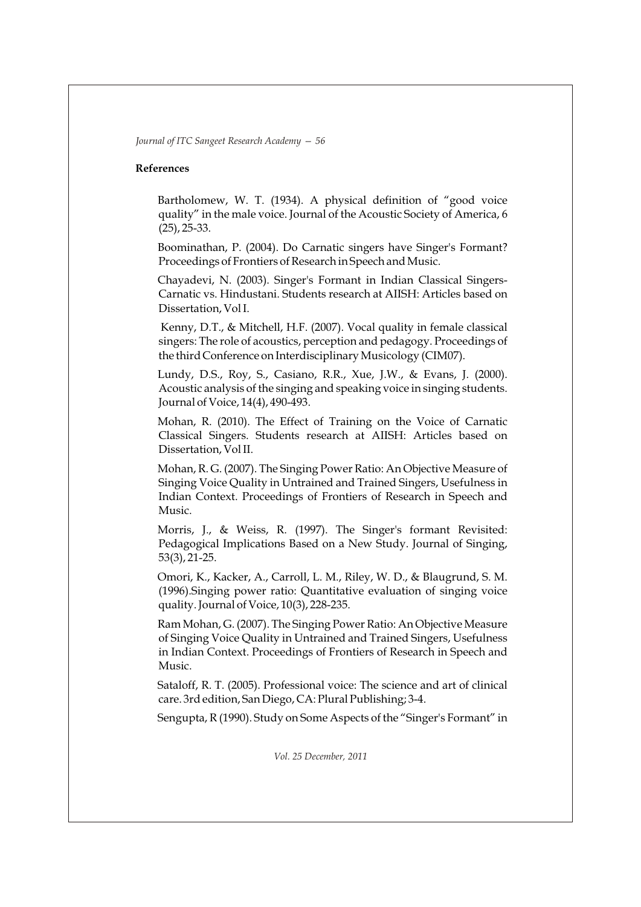#### **References**

Bartholomew, W. T. (1934). A physical definition of "good voice quality" in the male voice. Journal of the Acoustic Society of America, 6 (25), 25-33.

Boominathan, P. (2004). Do Carnatic singers have Singer's Formant? Proceedings of Frontiers of Research in Speech and Music.

Chayadevi, N. (2003). Singer's Formant in Indian Classical Singers-Carnatic vs. Hindustani. Students research at AIISH: Articles based on Dissertation, Vol I.

Kenny, D.T., & Mitchell, H.F. (2007). Vocal quality in female classical singers: The role of acoustics, perception and pedagogy. Proceedings of the third Conference on Interdisciplinary Musicology (CIM07).

Lundy, D.S., Roy, S., Casiano, R.R., Xue, J.W., & Evans, J. (2000). Acoustic analysis of the singing and speaking voice in singing students. Journal of Voice, 14(4), 490-493.

Mohan, R. (2010). The Effect of Training on the Voice of Carnatic Classical Singers. Students research at AIISH: Articles based on Dissertation, Vol II.

Mohan, R. G. (2007). The Singing Power Ratio: An Objective Measure of Singing Voice Quality in Untrained and Trained Singers, Usefulness in Indian Context. Proceedings of Frontiers of Research in Speech and Music.

Morris, J., & Weiss, R. (1997). The Singer's formant Revisited: Pedagogical Implications Based on a New Study. Journal of Singing, 53(3), 21-25.

Omori, K., Kacker, A., Carroll, L. M., Riley, W. D., & Blaugrund, S. M. (1996).Singing power ratio: Quantitative evaluation of singing voice quality. Journal of Voice, 10(3), 228-235.

Ram Mohan, G. (2007). The Singing Power Ratio: An Objective Measure of Singing Voice Quality in Untrained and Trained Singers, Usefulness in Indian Context. Proceedings of Frontiers of Research in Speech and Music.

Sataloff, R. T. (2005). Professional voice: The science and art of clinical care. 3rd edition, San Diego, CA: Plural Publishing; 3-4.

Sengupta, R (1990). Study on Some Aspects of the "Singer's Formant" in